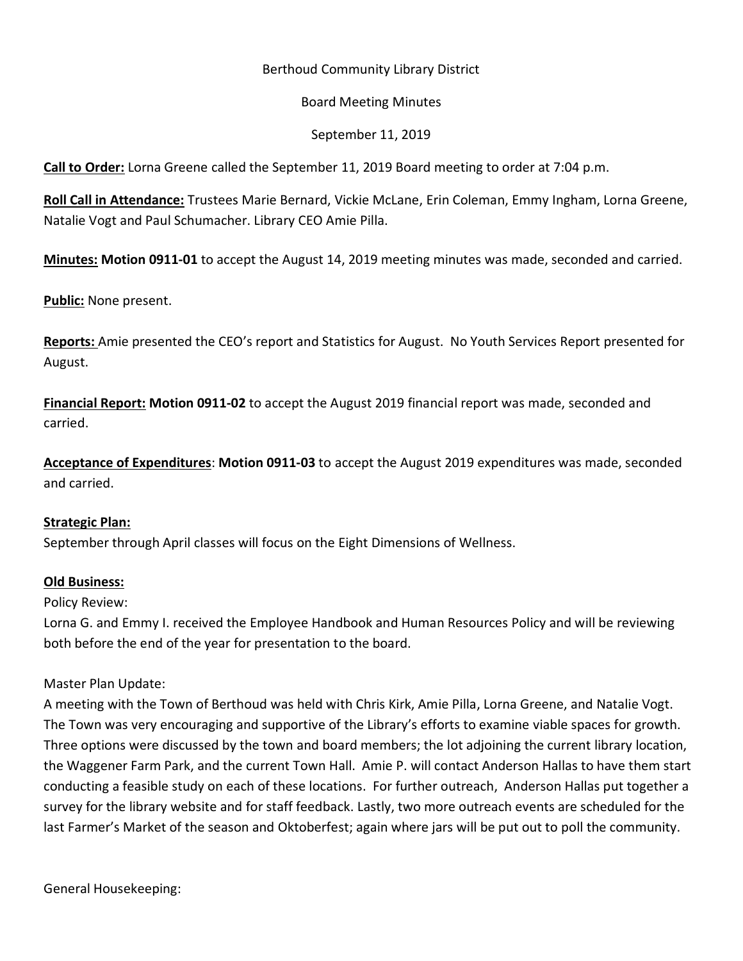## Berthoud Community Library District

#### Board Meeting Minutes

## September 11, 2019

**Call to Order:** Lorna Greene called the September 11, 2019 Board meeting to order at 7:04 p.m.

**Roll Call in Attendance:** Trustees Marie Bernard, Vickie McLane, Erin Coleman, Emmy Ingham, Lorna Greene, Natalie Vogt and Paul Schumacher. Library CEO Amie Pilla.

**Minutes: Motion 0911-01** to accept the August 14, 2019 meeting minutes was made, seconded and carried.

**Public:** None present.

**Reports:** Amie presented the CEO's report and Statistics for August. No Youth Services Report presented for August.

**Financial Report: Motion 0911-02** to accept the August 2019 financial report was made, seconded and carried.

**Acceptance of Expenditures**: **Motion 0911-03** to accept the August 2019 expenditures was made, seconded and carried.

#### **Strategic Plan:**

September through April classes will focus on the Eight Dimensions of Wellness.

#### **Old Business:**

#### Policy Review:

Lorna G. and Emmy I. received the Employee Handbook and Human Resources Policy and will be reviewing both before the end of the year for presentation to the board.

#### Master Plan Update:

A meeting with the Town of Berthoud was held with Chris Kirk, Amie Pilla, Lorna Greene, and Natalie Vogt. The Town was very encouraging and supportive of the Library's efforts to examine viable spaces for growth. Three options were discussed by the town and board members; the lot adjoining the current library location, the Waggener Farm Park, and the current Town Hall. Amie P. will contact Anderson Hallas to have them start conducting a feasible study on each of these locations. For further outreach, Anderson Hallas put together a survey for the library website and for staff feedback. Lastly, two more outreach events are scheduled for the last Farmer's Market of the season and Oktoberfest; again where jars will be put out to poll the community.

General Housekeeping: